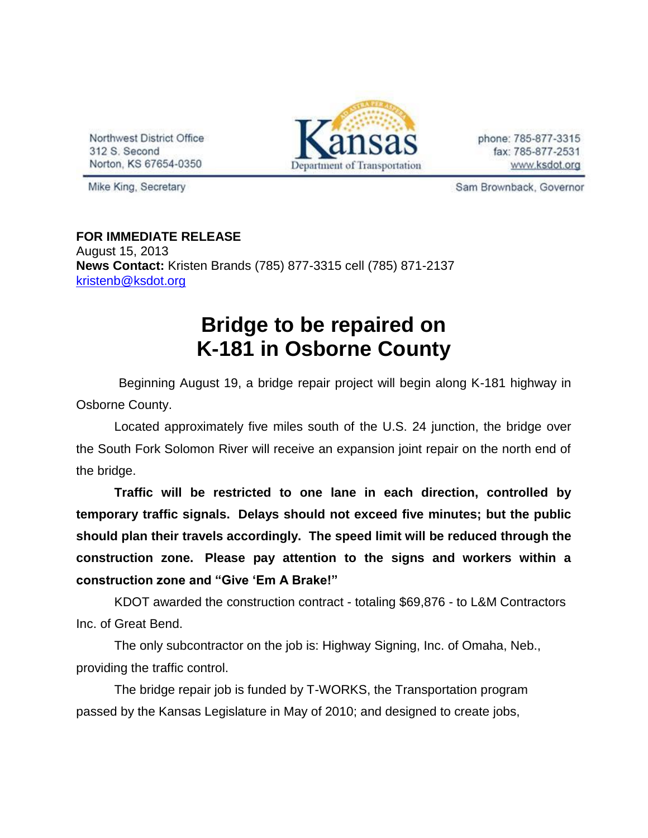Northwest District Office 312 S. Second Norton, KS 67654-0350



phone: 785-877-3315 fax: 785-877-2531 www.ksdot.org

Mike King, Secretary

Sam Brownback, Governor

**FOR IMMEDIATE RELEASE** August 15, 2013 **News Contact:** Kristen Brands (785) 877-3315 cell (785) 871-2137 [kristenb@ksdot.org](mailto:kristenb@ksdot.org)

## **Bridge to be repaired on K-181 in Osborne County**

 Beginning August 19, a bridge repair project will begin along K-181 highway in Osborne County.

Located approximately five miles south of the U.S. 24 junction, the bridge over the South Fork Solomon River will receive an expansion joint repair on the north end of the bridge.

**Traffic will be restricted to one lane in each direction, controlled by temporary traffic signals. Delays should not exceed five minutes; but the public should plan their travels accordingly. The speed limit will be reduced through the construction zone. Please pay attention to the signs and workers within a construction zone and "Give 'Em A Brake!"**

KDOT awarded the construction contract - totaling \$69,876 - to L&M Contractors Inc. of Great Bend.

The only subcontractor on the job is: Highway Signing, Inc. of Omaha, Neb., providing the traffic control.

The bridge repair job is funded by T-WORKS, the Transportation program passed by the Kansas Legislature in May of 2010; and designed to create jobs,